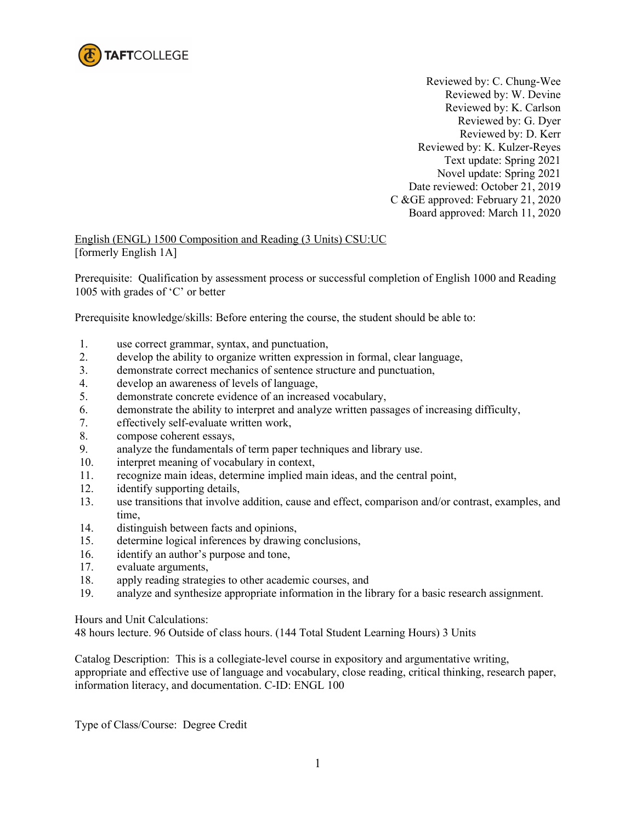

Reviewed by: C. Chung-Wee Reviewed by: W. Devine Reviewed by: K. Carlson Reviewed by: G. Dyer Reviewed by: D. Kerr Reviewed by: K. Kulzer-Reyes Text update: Spring 2021 Novel update: Spring 2021 Date reviewed: October 21, 2019 C &GE approved: February 21, 2020 Board approved: March 11, 2020

English (ENGL) 1500 Composition and Reading (3 Units) CSU:UC [formerly English 1A]

Prerequisite: Qualification by assessment process or successful completion of English 1000 and Reading 1005 with grades of 'C' or better

Prerequisite knowledge/skills: Before entering the course, the student should be able to:

- 1. use correct grammar, syntax, and punctuation,
- 2. develop the ability to organize written expression in formal, clear language,
- 3. demonstrate correct mechanics of sentence structure and punctuation,
- 4. develop an awareness of levels of language,
- 5. demonstrate concrete evidence of an increased vocabulary,
- 6. demonstrate the ability to interpret and analyze written passages of increasing difficulty,
- 7. effectively self-evaluate written work,
- 8. compose coherent essays,
- 9. analyze the fundamentals of term paper techniques and library use.
- 10. interpret meaning of vocabulary in context,
- 11. recognize main ideas, determine implied main ideas, and the central point,
- 12. identify supporting details,
- 13. use transitions that involve addition, cause and effect, comparison and/or contrast, examples, and time,
- 14. distinguish between facts and opinions,
- 15. determine logical inferences by drawing conclusions,
- 16. identify an author's purpose and tone,
- 17. evaluate arguments,
- 18. apply reading strategies to other academic courses, and
- 19. analyze and synthesize appropriate information in the library for a basic research assignment.

Hours and Unit Calculations:

48 hours lecture. 96 Outside of class hours. (144 Total Student Learning Hours) 3 Units

Catalog Description: This is a collegiate-level course in expository and argumentative writing, appropriate and effective use of language and vocabulary, close reading, critical thinking, research paper, information literacy, and documentation. C-ID: ENGL 100

Type of Class/Course: Degree Credit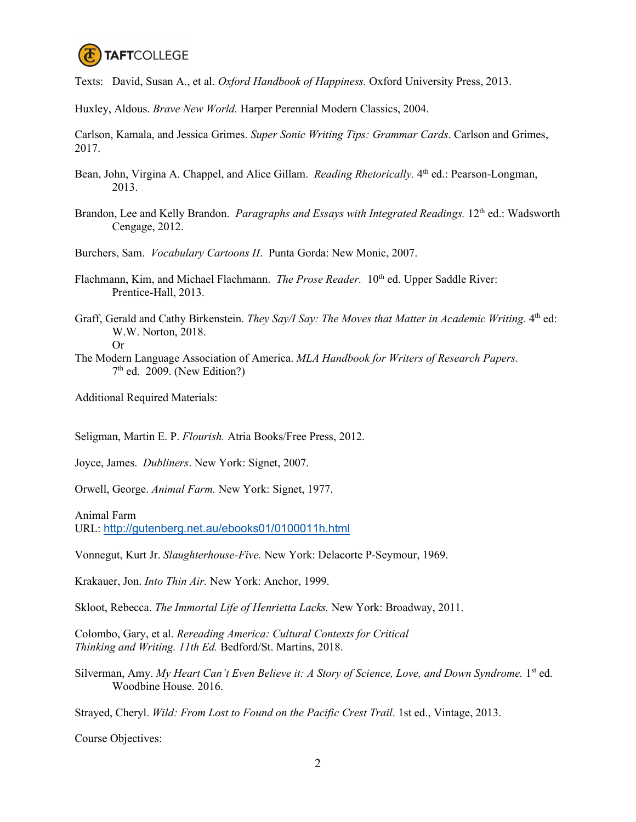

Texts: David, Susan A., et al. *Oxford Handbook of Happiness.* Oxford University Press, 2013.

Huxley, Aldous. *Brave New World.* Harper Perennial Modern Classics, 2004.

Carlson, Kamala, and Jessica Grimes. *Super Sonic Writing Tips: Grammar Cards*. Carlson and Grimes, 2017.

- Bean, John, Virgina A. Chappel, and Alice Gillam. *Reading Rhetorically*. 4<sup>th</sup> ed.: Pearson-Longman, 2013.
- Brandon, Lee and Kelly Brandon. *Paragraphs and Essays with Integrated Readings*. 12<sup>th</sup> ed.: Wadsworth Cengage, 2012.

Burchers, Sam. *Vocabulary Cartoons II*. Punta Gorda: New Monic, 2007.

- Flachmann, Kim, and Michael Flachmann. *The Prose Reader*. 10<sup>th</sup> ed. Upper Saddle River: Prentice-Hall, 2013.
- Graff, Gerald and Cathy Birkenstein. *They Say/I Say: The Moves that Matter in Academic Writing*. 4<sup>th</sup> ed: W.W. Norton, 2018.

Or

The Modern Language Association of America. *MLA Handbook for Writers of Research Papers.*   $7<sup>th</sup>$  ed. 2009. (New Edition?)

Additional Required Materials:

Seligman, Martin E. P. *Flourish.* Atria Books/Free Press, 2012.

Joyce, James. *Dubliners*. New York: Signet, 2007.

Orwell, George. *Animal Farm.* New York: Signet, 1977.

Animal Farm URL: <http://gutenberg.net.au/ebooks01/0100011h.html>

Vonnegut, Kurt Jr. *Slaughterhouse-Five.* New York: Delacorte P-Seymour, 1969.

Krakauer, Jon. *Into Thin Air.* New York: Anchor, 1999.

Skloot, Rebecca. *The Immortal Life of Henrietta Lacks.* New York: Broadway, 2011.

Colombo, Gary, et al. *Rereading America: Cultural Contexts for Critical Thinking and Writing. 11th Ed.* Bedford/St. Martins, 2018.

Silverman, Amy. *My Heart Can't Even Believe it: A Story of Science, Love, and Down Syndrome.* 1<sup>st</sup> ed. Woodbine House. 2016.

Strayed, Cheryl. *Wild: From Lost to Found on the Pacific Crest Trail*. 1st ed., Vintage, 2013.

Course Objectives: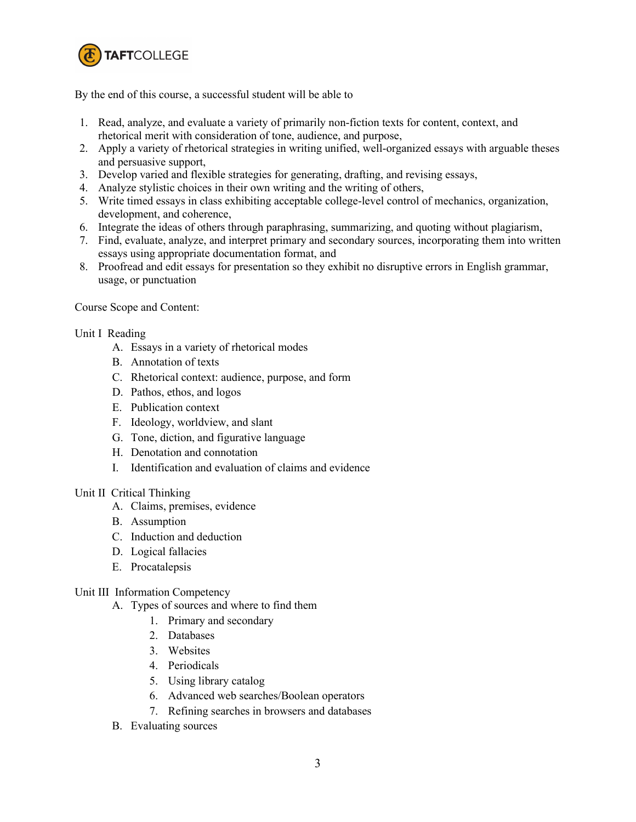

By the end of this course, a successful student will be able to

- 1. Read, analyze, and evaluate a variety of primarily non-fiction texts for content, context, and rhetorical merit with consideration of tone, audience, and purpose,
- 2. Apply a variety of rhetorical strategies in writing unified, well-organized essays with arguable theses and persuasive support,
- 3. Develop varied and flexible strategies for generating, drafting, and revising essays,
- 4. Analyze stylistic choices in their own writing and the writing of others,
- 5. Write timed essays in class exhibiting acceptable college-level control of mechanics, organization, development, and coherence,
- 6. Integrate the ideas of others through paraphrasing, summarizing, and quoting without plagiarism,
- 7. Find, evaluate, analyze, and interpret primary and secondary sources, incorporating them into written essays using appropriate documentation format, and
- 8. Proofread and edit essays for presentation so they exhibit no disruptive errors in English grammar, usage, or punctuation

### Course Scope and Content:

### Unit I Reading

- A. Essays in a variety of rhetorical modes
- B. Annotation of texts
- C. Rhetorical context: audience, purpose, and form
- D. Pathos, ethos, and logos
- E. Publication context
- F. Ideology, worldview, and slant
- G. Tone, diction, and figurative language
- H. Denotation and connotation
- I. Identification and evaluation of claims and evidence

## Unit II Critical Thinking

- A. Claims, premises, evidence
- B. Assumption
- C. Induction and deduction
- D. Logical fallacies
- E. Procatalepsis

## Unit III Information Competency

- A. Types of sources and where to find them
	- 1. Primary and secondary
	- 2. Databases
	- 3. Websites
	- 4. Periodicals
	- 5. Using library catalog
	- 6. Advanced web searches/Boolean operators
	- 7. Refining searches in browsers and databases
- B. Evaluating sources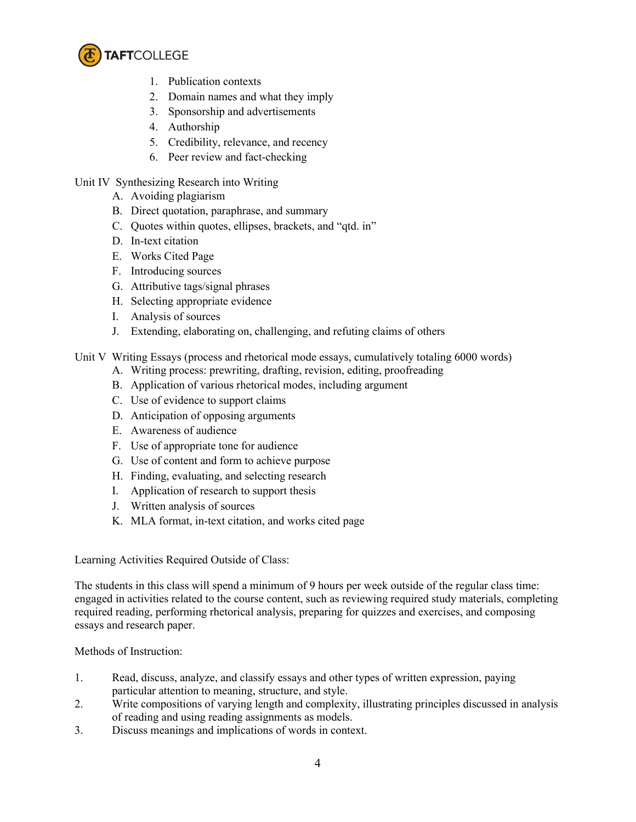

- 1. Publication contexts
- 2. Domain names and what they imply
- 3. Sponsorship and advertisements
- 4. Authorship
- 5. Credibility, relevance, and recency
- 6. Peer review and fact-checking

## Unit IV Synthesizing Research into Writing

- A. Avoiding plagiarism
- B. Direct quotation, paraphrase, and summary
- C. Quotes within quotes, ellipses, brackets, and "qtd. in"
- D. In-text citation
- E. Works Cited Page
- F. Introducing sources
- G. Attributive tags/signal phrases
- H. Selecting appropriate evidence
- I. Analysis of sources
- J. Extending, elaborating on, challenging, and refuting claims of others

# Unit V Writing Essays (process and rhetorical mode essays, cumulatively totaling 6000 words)

- A. Writing process: prewriting, drafting, revision, editing, proofreading
- B. Application of various rhetorical modes, including argument
- C. Use of evidence to support claims
- D. Anticipation of opposing arguments
- E. Awareness of audience
- F. Use of appropriate tone for audience
- G. Use of content and form to achieve purpose
- H. Finding, evaluating, and selecting research
- I. Application of research to support thesis
- J. Written analysis of sources
- K. MLA format, in-text citation, and works cited page

Learning Activities Required Outside of Class:

The students in this class will spend a minimum of 9 hours per week outside of the regular class time: engaged in activities related to the course content, such as reviewing required study materials, completing required reading, performing rhetorical analysis, preparing for quizzes and exercises, and composing essays and research paper.

Methods of Instruction:

- 1. Read, discuss, analyze, and classify essays and other types of written expression, paying particular attention to meaning, structure, and style.
- 2. Write compositions of varying length and complexity, illustrating principles discussed in analysis of reading and using reading assignments as models.
- 3. Discuss meanings and implications of words in context.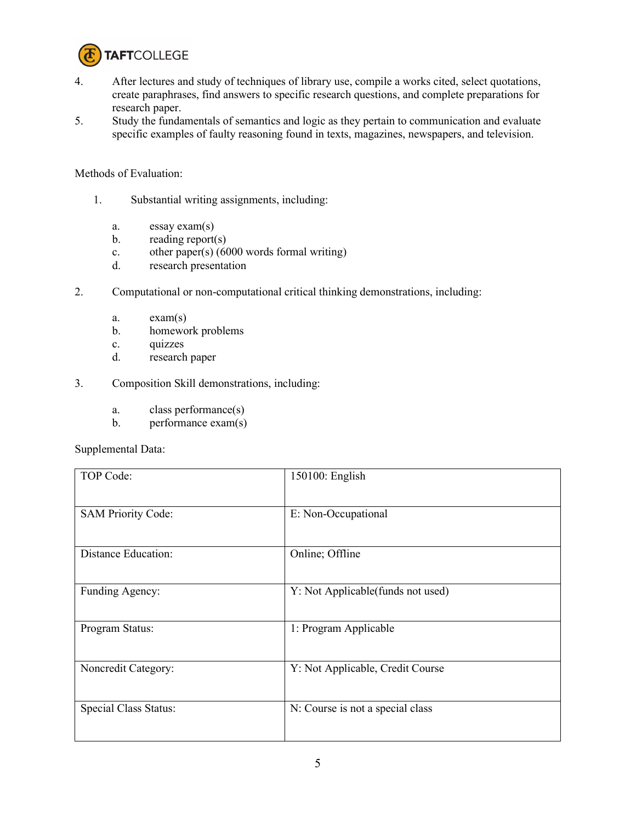

- 4. After lectures and study of techniques of library use, compile a works cited, select quotations, create paraphrases, find answers to specific research questions, and complete preparations for research paper.
- 5. Study the fundamentals of semantics and logic as they pertain to communication and evaluate specific examples of faulty reasoning found in texts, magazines, newspapers, and television.

Methods of Evaluation:

- 1. Substantial writing assignments, including:
	- a. essay exam(s)
	- b. reading report(s)
	- c. other paper(s)  $(6000 \text{ words formal writing})$
	- d. research presentation
- 2. Computational or non-computational critical thinking demonstrations, including:
	- a. exam(s)
	- b. homework problems
	- c. quizzes
	- d. research paper
- 3. Composition Skill demonstrations, including:
	- a. class performance(s)
	- b. performance exam(s)

Supplemental Data:

| TOP Code:                  | 150100: English                   |
|----------------------------|-----------------------------------|
| <b>SAM Priority Code:</b>  | E: Non-Occupational               |
| <b>Distance Education:</b> | Online; Offline                   |
| Funding Agency:            | Y: Not Applicable(funds not used) |
| Program Status:            | 1: Program Applicable             |
| Noncredit Category:        | Y: Not Applicable, Credit Course  |
| Special Class Status:      | N: Course is not a special class  |